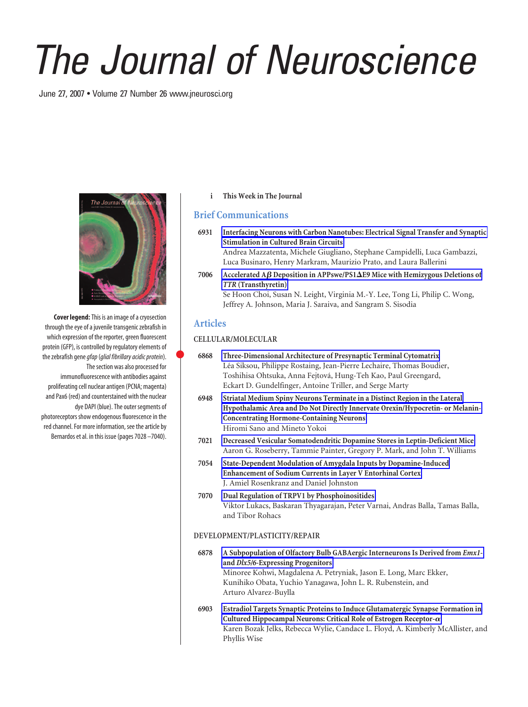# *The Journal of Neuroscience*

June 27, 2007 • Volume 27 Number 26 www.jneurosci.org



**Cover legend:**This is an image of a cryosection through the eye of a juvenile transgenic zebrafish in which expression of the reporter, green fluorescent protein (GFP), is controlled by regulatory elements of the zebrafish gene*gfap*(*glial fibrillary acidic protein*). The section was also processed for immunofluorescence with antibodies against proliferating cell nuclear antigen (PCNA; magenta) and Pax6 (red) and counterstained with the nuclear dye DAPI (blue). The outer segments of photoreceptors show endogenous fluorescence in the red channel. For more information, see the article by Bernardos et al. in this issue (pages 7028 –7040).

# **i This Week in The Journal**

# **Brief Communications**

**6931 Interfacing Neurons with Carbon Nanotubes: Electrical Signal Transfer and Synaptic Stimulation in Cultured Brain Circuits** Andrea Mazzatenta, Michele Giugliano, Stephane Campidelli, Luca Gambazzi,

Luca Businaro, Henry Markram, Maurizio Prato, and Laura Ballerini

**7006 Accelerated A Deposition in APPswe/PS1**-**E9 Mice with Hemizygous Deletions of** *TTR* **(Transthyretin)** Se Hoon Choi, Susan N. Leight, Virginia M.-Y. Lee, Tong Li, Philip C. Wong,

# **Articles**

# **CELLULAR/MOLECULAR**

 **6868 Three-Dimensional Architecture of Presynaptic Terminal Cytomatrix** Léa Siksou, Philippe Rostaing, Jean-Pierre Lechaire, Thomas Boudier, Toshihisa Ohtsuka, Anna Fejtová, Hung-Teh Kao, Paul Greengard, Eckart D. Gundelfinger, Antoine Triller, and Serge Marty

Jeffrey A. Johnson, Maria J. Saraiva, and Sangram S. Sisodia

- **6948 Striatal Medium Spiny Neurons Terminate in a Distinct Region in the Lateral Hypothalamic Area and Do Not Directly Innervate Orexin/Hypocretin- or Melanin-Concentrating Hormone-Containing Neurons** Hiromi Sano and Mineto Yokoi
- **7021 Decreased Vesicular Somatodendritic Dopamine Stores in Leptin-Deficient Mice** Aaron G. Roseberry, Tammie Painter, Gregory P. Mark, and John T. Williams
- **7054 State-Dependent Modulation of Amygdala Inputs by Dopamine-Induced Enhancement of Sodium Currents in Layer V Entorhinal Cortex** J. Amiel Rosenkranz and Daniel Johnston
- **7070 Dual Regulation of TRPV1 by Phosphoinositides** Viktor Lukacs, Baskaran Thyagarajan, Peter Varnai, Andras Balla, Tamas Balla, and Tibor Rohacs

# **DEVELOPMENT/PLASTICITY/REPAIR**

- **6878 A Subpopulation of Olfactory Bulb GABAergic Interneurons Is Derived from** *Emx1* **and** *Dlx5/6***-Expressing Progenitors** Minoree Kohwi, Magdalena A. Petryniak, Jason E. Long, Marc Ekker, Kunihiko Obata, Yuchio Yanagawa, John L. R. Rubenstein, and Arturo Alvarez-Buylla
- **6903 Estradiol Targets Synaptic Proteins to Induce Glutamatergic Synapse Formation in Cultured Hippocampal Neurons: Critical Role of Estrogen Receptor-** Karen Bozak Jelks, Rebecca Wylie, Candace L. Floyd, A. Kimberly McAllister, and Phyllis Wise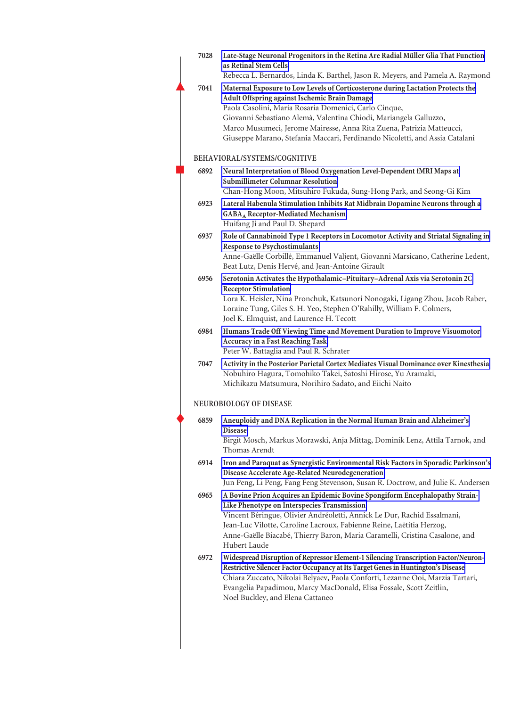| 7028 | Late-Stage Neuronal Progenitors in the Retina Are Radial Müller Glia That Function<br>as Retinal Stem Cells<br>Rebecca L. Bernardos, Linda K. Barthel, Jason R. Meyers, and Pamela A. Raymond                                                                                                                                                                                                                          |
|------|------------------------------------------------------------------------------------------------------------------------------------------------------------------------------------------------------------------------------------------------------------------------------------------------------------------------------------------------------------------------------------------------------------------------|
| 7041 | Maternal Exposure to Low Levels of Corticosterone during Lactation Protects the<br>Adult Offspring against Ischemic Brain Damage<br>Paola Casolini, Maria Rosaria Domenici, Carlo Cinque,<br>Giovanni Sebastiano Alemà, Valentina Chiodi, Mariangela Galluzzo,<br>Marco Musumeci, Jerome Mairesse, Anna Rita Zuena, Patrizia Matteucci,<br>Giuseppe Marano, Stefania Maccari, Ferdinando Nicoletti, and Assia Catalani |
|      | BEHAVIORAL/SYSTEMS/COGNITIVE                                                                                                                                                                                                                                                                                                                                                                                           |
| 6892 | Neural Interpretation of Blood Oxygenation Level-Dependent fMRI Maps at<br><b>Submillimeter Columnar Resolution</b><br>Chan-Hong Moon, Mitsuhiro Fukuda, Sung-Hong Park, and Seong-Gi Kim                                                                                                                                                                                                                              |
| 6923 | Lateral Habenula Stimulation Inhibits Rat Midbrain Dopamine Neurons through a<br><b>GABA</b> <sub>A</sub> Receptor-Mediated Mechanism<br>Huifang Ji and Paul D. Shepard                                                                                                                                                                                                                                                |
| 6937 | Role of Cannabinoid Type 1 Receptors in Locomotor Activity and Striatal Signaling in<br><b>Response to Psychostimulants</b><br>Anne-Gaëlle Corbillé, Emmanuel Valjent, Giovanni Marsicano, Catherine Ledent,<br>Beat Lutz, Denis Hervé, and Jean-Antoine Girault                                                                                                                                                       |
| 6956 | Serotonin Activates the Hypothalamic-Pituitary-Adrenal Axis via Serotonin 2C<br><b>Receptor Stimulation</b><br>Lora K. Heisler, Nina Pronchuk, Katsunori Nonogaki, Ligang Zhou, Jacob Raber,<br>Loraine Tung, Giles S. H. Yeo, Stephen O'Rahilly, William F. Colmers,                                                                                                                                                  |
| 6984 | Joel K. Elmquist, and Laurence H. Tecott<br>Humans Trade Off Viewing Time and Movement Duration to Improve Visuomotor<br><b>Accuracy in a Fast Reaching Task</b><br>Peter W. Battaglia and Paul R. Schrater                                                                                                                                                                                                            |
| 7047 | Activity in the Posterior Parietal Cortex Mediates Visual Dominance over Kinesthesia<br>Nobuhiro Hagura, Tomohiko Takei, Satoshi Hirose, Yu Aramaki,<br>Michikazu Matsumura, Norihiro Sadato, and Eiichi Naito                                                                                                                                                                                                         |
|      | NEUROBIOLOGY OF DISEASE                                                                                                                                                                                                                                                                                                                                                                                                |
| 6859 | Aneuploidy and DNA Replication in the Normal Human Brain and Alzheimer's<br><b>Disease</b><br>Birgit Mosch, Markus Morawski, Anja Mittag, Dominik Lenz, Attila Tarnok, and<br>Thomas Arendt                                                                                                                                                                                                                            |
| 6914 | Iron and Paraquat as Synergistic Environmental Risk Factors in Sporadic Parkinson's<br>Disease Accelerate Age-Related Neurodegeneration<br>Jun Peng, Li Peng, Fang Feng Stevenson, Susan R. Doctrow, and Julie K. Andersen                                                                                                                                                                                             |
| 6965 | A Bovine Prion Acquires an Epidemic Bovine Spongiform Encephalopathy Strain-<br>Like Phenotype on Interspecies Transmission<br>Vincent Béringue, Olivier Andréoletti, Annick Le Dur, Rachid Essalmani,<br>Jean-Luc Vilotte, Caroline Lacroux, Fabienne Reine, Laëtitia Herzog,<br>Anne-Gaëlle Biacabé, Thierry Baron, Maria Caramelli, Cristina Casalone, and<br>Hubert Laude                                          |
| 6972 | Widespread Disruption of Repressor Element-1 Silencing Transcription Factor/Neuron-<br>Restrictive Silencer Factor Occupancy at Its Target Genes in Huntington's Disease<br>Chiara Zuccato, Nikolai Belyaev, Paola Conforti, Lezanne Ooi, Marzia Tartari,<br>Evangelia Papadimou, Marcy MacDonald, Elisa Fossale, Scott Zeitlin,<br>Noel Buckley, and Elena Cattaneo                                                   |
|      |                                                                                                                                                                                                                                                                                                                                                                                                                        |